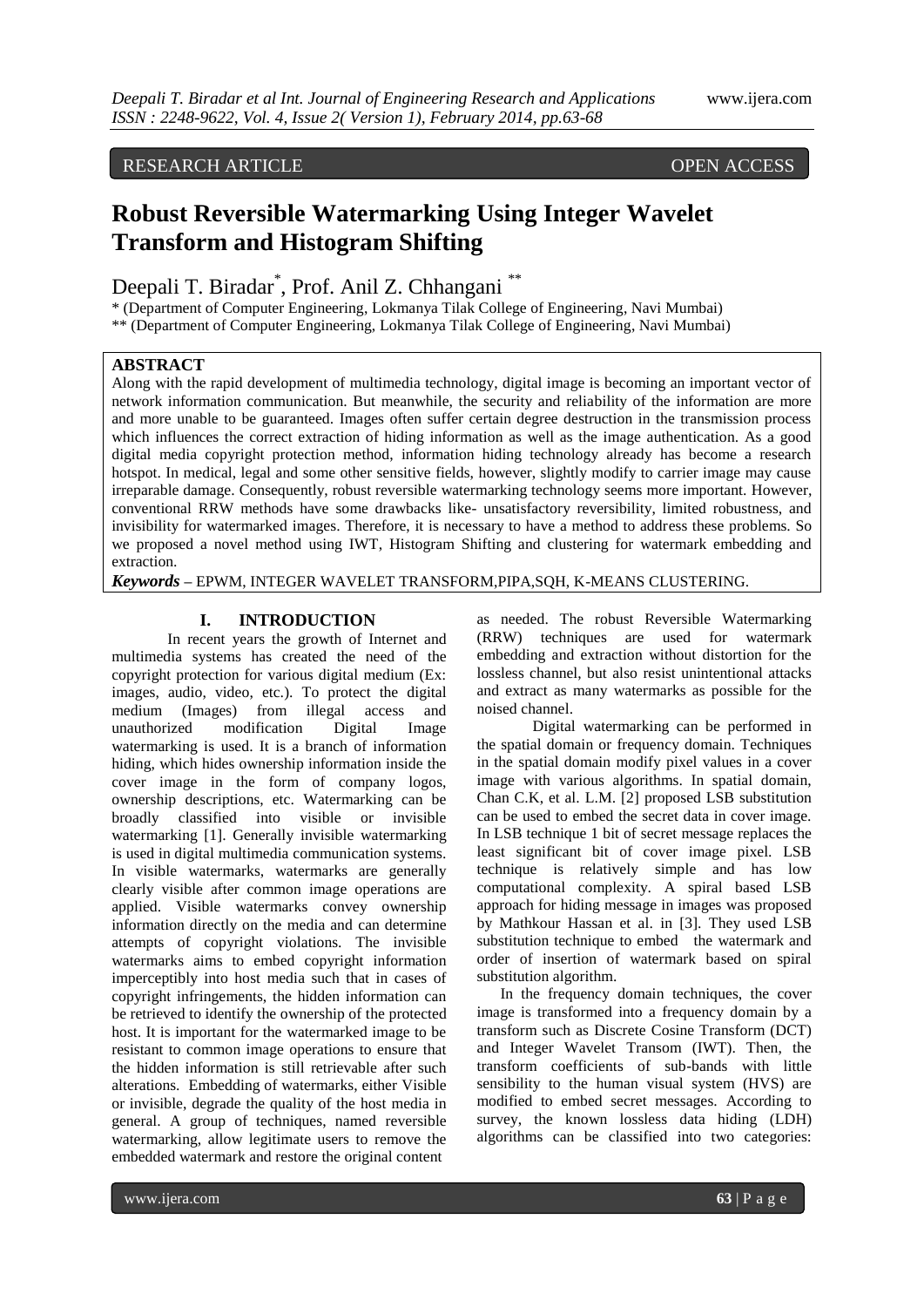# RESEARCH ARTICLE OPEN ACCESS

# **Robust Reversible Watermarking Using Integer Wavelet Transform and Histogram Shifting**

Deepali T. Biradar\* , Prof. Anil Z. Chhangani \*\*

\* (Department of Computer Engineering, Lokmanya Tilak College of Engineering, Navi Mumbai) \*\* (Department of Computer Engineering, Lokmanya Tilak College of Engineering, Navi Mumbai)

# **ABSTRACT**

Along with the rapid development of multimedia technology, digital image is becoming an important vector of network information communication. But meanwhile, the security and reliability of the information are more and more unable to be guaranteed. Images often suffer certain degree destruction in the transmission process which influences the correct extraction of hiding information as well as the image authentication. As a good digital media copyright protection method, information hiding technology already has become a research hotspot. In medical, legal and some other sensitive fields, however, slightly modify to carrier image may cause irreparable damage. Consequently, robust reversible watermarking technology seems more important. However, conventional RRW methods have some drawbacks like- unsatisfactory reversibility, limited robustness, and invisibility for watermarked images. Therefore, it is necessary to have a method to address these problems. So we proposed a novel method using IWT, Histogram Shifting and clustering for watermark embedding and extraction.

*Keywords* **–** EPWM, INTEGER WAVELET TRANSFORM,PIPA,SQH, K-MEANS CLUSTERING.

### **I. INTRODUCTION**

In recent years the growth of Internet and multimedia systems has created the need of the copyright protection for various digital medium (Ex: images, audio, video, etc.). To protect the digital medium (Images) from illegal access and unauthorized modification Digital Image watermarking is used. It is a branch of information hiding, which hides ownership information inside the cover image in the form of company logos, ownership descriptions, etc. Watermarking can be broadly classified into visible or invisible watermarking [1]. Generally invisible watermarking is used in digital multimedia communication systems. In visible watermarks, watermarks are generally clearly visible after common image operations are applied. Visible watermarks convey ownership information directly on the media and can determine attempts of copyright violations. The invisible watermarks aims to embed copyright information imperceptibly into host media such that in cases of copyright infringements, the hidden information can be retrieved to identify the ownership of the protected host. It is important for the watermarked image to be resistant to common image operations to ensure that the hidden information is still retrievable after such alterations. Embedding of watermarks, either Visible or invisible, degrade the quality of the host media in general. A group of techniques, named reversible watermarking, allow legitimate users to remove the embedded watermark and restore the original content

as needed. The robust Reversible Watermarking (RRW) techniques are used for watermark embedding and extraction without distortion for the lossless channel, but also resist unintentional attacks and extract as many watermarks as possible for the noised channel.

Digital watermarking can be performed in the spatial domain or frequency domain. Techniques in the spatial domain modify pixel values in a cover image with various algorithms. In spatial domain, Chan C.K, et al. L.M. [2] proposed LSB substitution can be used to embed the secret data in cover image. In LSB technique 1 bit of secret message replaces the least significant bit of cover image pixel. LSB technique is relatively simple and has low computational complexity. A spiral based LSB approach for hiding message in images was proposed by Mathkour Hassan et al. in [3]. They used LSB substitution technique to embed the watermark and order of insertion of watermark based on spiral substitution algorithm.

 In the frequency domain techniques, the cover image is transformed into a frequency domain by a transform such as Discrete Cosine Transform (DCT) and Integer Wavelet Transom (IWT). Then, the transform coefficients of sub-bands with little sensibility to the human visual system (HVS) are modified to embed secret messages. According to survey, the known lossless data hiding (LDH) algorithms can be classified into two categories: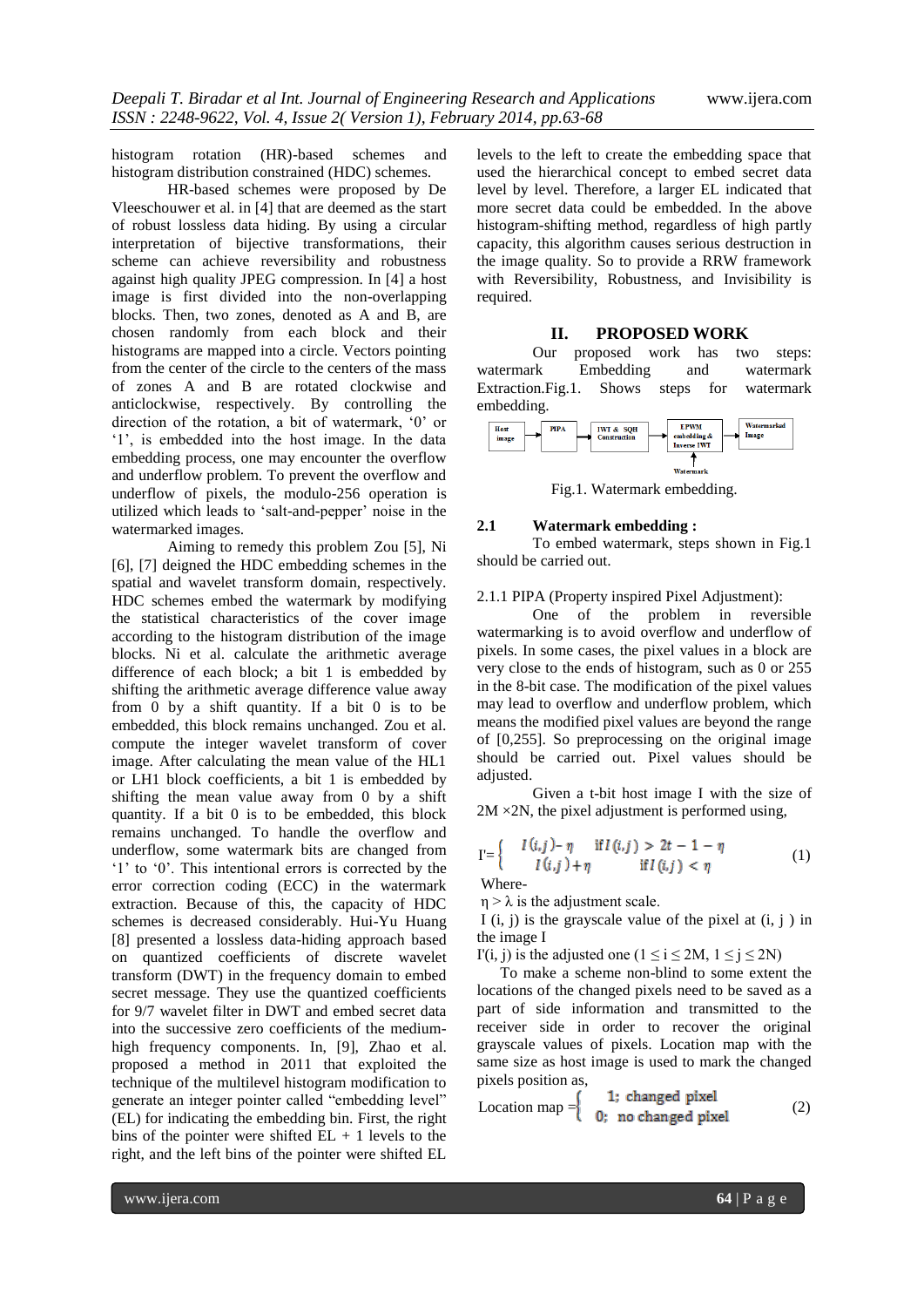histogram rotation (HR)-based schemes and histogram distribution constrained (HDC) schemes.

HR-based schemes were proposed by De Vleeschouwer et al. in [4] that are deemed as the start of robust lossless data hiding. By using a circular interpretation of bijective transformations, their scheme can achieve reversibility and robustness against high quality JPEG compression. In [4] a host image is first divided into the non-overlapping blocks. Then, two zones, denoted as A and B, are chosen randomly from each block and their histograms are mapped into a circle. Vectors pointing from the center of the circle to the centers of the mass of zones A and B are rotated clockwise and anticlockwise, respectively. By controlling the direction of the rotation, a bit of watermark, "0" or "1", is embedded into the host image. In the data embedding process, one may encounter the overflow and underflow problem. To prevent the overflow and underflow of pixels, the modulo-256 operation is utilized which leads to "salt-and-pepper" noise in the watermarked images.

Aiming to remedy this problem Zou [5], Ni [6], [7] deigned the HDC embedding schemes in the spatial and wavelet transform domain, respectively. HDC schemes embed the watermark by modifying the statistical characteristics of the cover image according to the histogram distribution of the image blocks. Ni et al. calculate the arithmetic average difference of each block; a bit 1 is embedded by shifting the arithmetic average difference value away from 0 by a shift quantity. If a bit 0 is to be embedded, this block remains unchanged. Zou et al. compute the integer wavelet transform of cover image. After calculating the mean value of the HL1 or LH1 block coefficients, a bit 1 is embedded by shifting the mean value away from 0 by a shift quantity. If a bit 0 is to be embedded, this block remains unchanged. To handle the overflow and underflow, some watermark bits are changed from '1' to '0'. This intentional errors is corrected by the error correction coding (ECC) in the watermark extraction. Because of this, the capacity of HDC schemes is decreased considerably. Hui-Yu Huang [8] presented a lossless data-hiding approach based on quantized coefficients of discrete wavelet transform (DWT) in the frequency domain to embed secret message. They use the quantized coefficients for 9/7 wavelet filter in DWT and embed secret data into the successive zero coefficients of the mediumhigh frequency components. In, [9], Zhao et al. proposed a method in 2011 that exploited the technique of the multilevel histogram modification to generate an integer pointer called "embedding level" (EL) for indicating the embedding bin. First, the right bins of the pointer were shifted  $EL + 1$  levels to the right, and the left bins of the pointer were shifted EL

levels to the left to create the embedding space that used the hierarchical concept to embed secret data level by level. Therefore, a larger EL indicated that more secret data could be embedded. In the above histogram-shifting method, regardless of high partly capacity, this algorithm causes serious destruction in the image quality. So to provide a RRW framework with Reversibility, Robustness, and Invisibility is required.

#### **II. PROPOSED WORK**

Our proposed work has two steps: watermark Embedding and watermark Extraction.Fig.1. Shows steps for watermark embedding.



Fig.1. Watermark embedding.

#### **2.1 Watermark embedding :**

To embed watermark, steps shown in Fig.1 should be carried out.

2.1.1 PIPA (Property inspired Pixel Adjustment):

One of the problem in reversible watermarking is to avoid overflow and underflow of pixels. In some cases, the pixel values in a block are very close to the ends of histogram, such as 0 or 255 in the 8-bit case. The modification of the pixel values may lead to overflow and underflow problem, which means the modified pixel values are beyond the range of [0,255]. So preprocessing on the original image should be carried out. Pixel values should be adjusted.

Given a t-bit host image I with the size of  $2M \times 2N$ , the pixel adjustment is performed using,

$$
\Gamma = \left\{ \begin{array}{cc} I(i,j) - \eta & \text{if } I(i,j) > 2t - 1 - \eta \\ I(i,j) + \eta & \text{if } I(i,j) < \eta \end{array} \right. \tag{1}
$$

Where-

 $\eta > \lambda$  is the adjustment scale.

I (i, j) is the grayscale value of the pixel at  $(i, j)$  in the image I

I'(i, j) is the adjusted one ( $1 \le i \le 2M$ ,  $1 \le j \le 2N$ )

 To make a scheme non-blind to some extent the locations of the changed pixels need to be saved as a part of side information and transmitted to the receiver side in order to recover the original grayscale values of pixels. Location map with the same size as host image is used to mark the changed pixels position as,

Location map = 
$$
\begin{cases} 1; \text{ changed pixel} \\ 0; \text{ no changed pixel} \end{cases}
$$
 (2)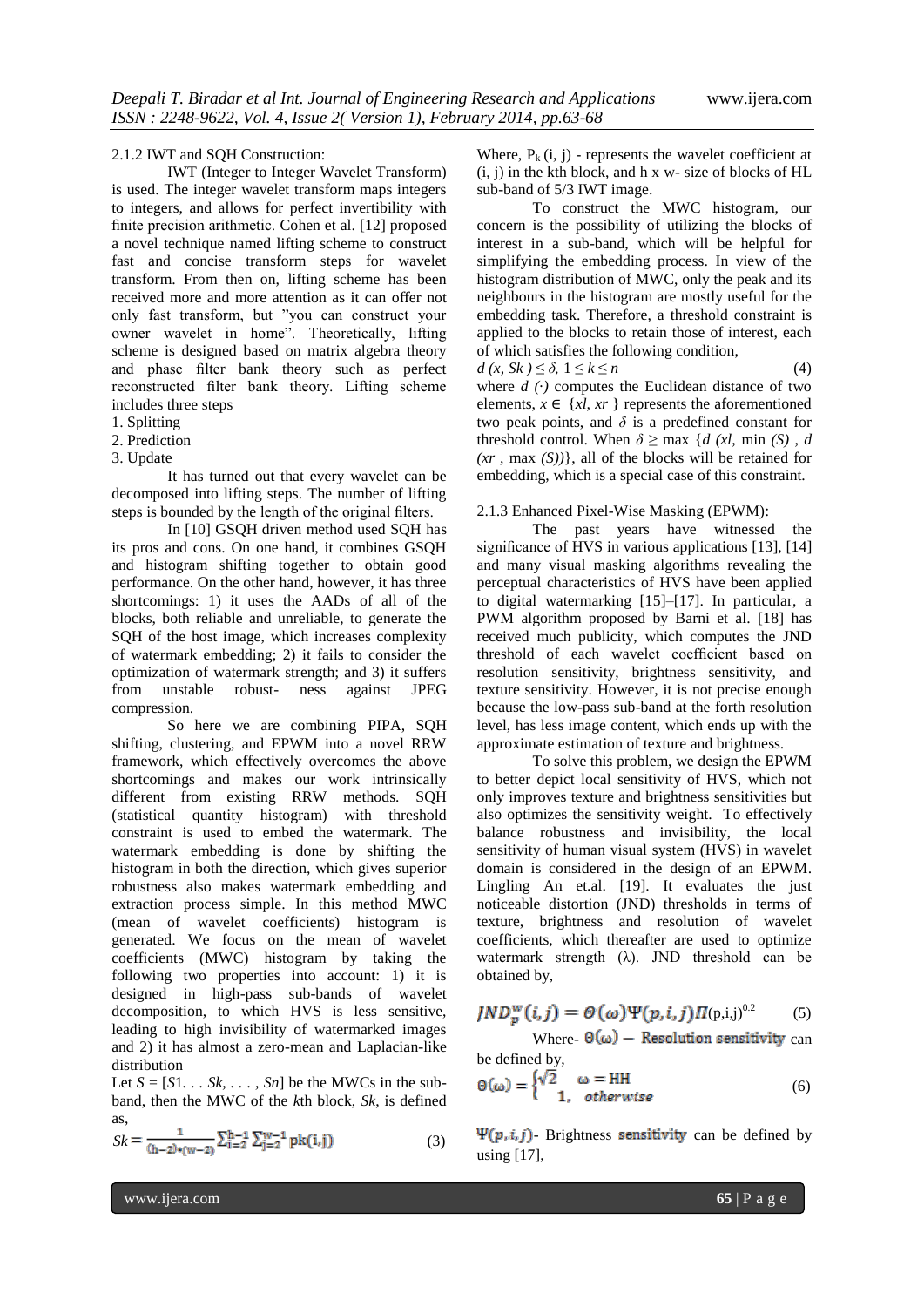# 2.1.2 IWT and SQH Construction:

IWT (Integer to Integer Wavelet Transform) is used. The integer wavelet transform maps integers to integers, and allows for perfect invertibility with finite precision arithmetic. Cohen et al. [12] proposed a novel technique named lifting scheme to construct fast and concise transform steps for wavelet transform. From then on, lifting scheme has been received more and more attention as it can offer not only fast transform, but "you can construct your owner wavelet in home". Theoretically, lifting scheme is designed based on matrix algebra theory and phase filter bank theory such as perfect reconstructed filter bank theory. Lifting scheme includes three steps

- 1. Splitting
- 2. Prediction
- 3. Update

It has turned out that every wavelet can be decomposed into lifting steps. The number of lifting steps is bounded by the length of the original filters.

In [10] GSQH driven method used SQH has its pros and cons. On one hand, it combines GSQH and histogram shifting together to obtain good performance. On the other hand, however, it has three shortcomings: 1) it uses the AADs of all of the blocks, both reliable and unreliable, to generate the SQH of the host image, which increases complexity of watermark embedding; 2) it fails to consider the optimization of watermark strength; and 3) it suffers<br>from unstable robust- ness against JPEG unstable robust- ness compression.

So here we are combining PIPA, SQH shifting, clustering, and EPWM into a novel RRW framework, which effectively overcomes the above shortcomings and makes our work intrinsically different from existing RRW methods. SQH (statistical quantity histogram) with threshold constraint is used to embed the watermark. The watermark embedding is done by shifting the histogram in both the direction, which gives superior robustness also makes watermark embedding and extraction process simple. In this method MWC (mean of wavelet coefficients) histogram is generated. We focus on the mean of wavelet coefficients (MWC) histogram by taking the following two properties into account: 1) it is designed in high-pass sub-bands of wavelet decomposition, to which HVS is less sensitive, leading to high invisibility of watermarked images and 2) it has almost a zero-mean and Laplacian-like distribution

Let  $S = [S1, Sk, \ldots, Sn]$  be the MWCs in the subband, then the MWC of the *k*th block, *Sk*, is defined as,

$$
Sk = \frac{1}{(h-2)\cdot(w-2)} \sum_{i=2}^{h-1} \sum_{j=2}^{w-1} pk(i,j)
$$
 (3)

Where,  $P_k(i, j)$  - represents the wavelet coefficient at  $(i, j)$  in the kth block, and h x w- size of blocks of HL sub-band of 5/3 IWT image.

To construct the MWC histogram, our concern is the possibility of utilizing the blocks of interest in a sub-band, which will be helpful for simplifying the embedding process. In view of the histogram distribution of MWC, only the peak and its neighbours in the histogram are mostly useful for the embedding task. Therefore, a threshold constraint is applied to the blocks to retain those of interest, each of which satisfies the following condition,

$$
d(x, Sk) \leq \delta, \ 1 \leq k \leq n \tag{4}
$$

where  $d(\cdot)$  computes the Euclidean distance of two elements,  $x \in \{x\}, xr\}$  represents the aforementioned two peak points, and  $\delta$  is a predefined constant for threshold control. When  $\delta$  > max {*d (xl, min (S), d (xr ,* max *(S))*}, all of the blocks will be retained for embedding, which is a special case of this constraint.

#### 2.1.3 Enhanced Pixel-Wise Masking (EPWM):

The past years have witnessed the significance of HVS in various applications [13], [14] and many visual masking algorithms revealing the perceptual characteristics of HVS have been applied to digital watermarking [15]–[17]. In particular, a PWM algorithm proposed by Barni et al. [18] has received much publicity, which computes the JND threshold of each wavelet coefficient based on resolution sensitivity, brightness sensitivity, and texture sensitivity. However, it is not precise enough because the low-pass sub-band at the forth resolution level, has less image content, which ends up with the approximate estimation of texture and brightness.

To solve this problem, we design the EPWM to better depict local sensitivity of HVS, which not only improves texture and brightness sensitivities but also optimizes the sensitivity weight. To effectively balance robustness and invisibility, the local sensitivity of human visual system (HVS) in wavelet domain is considered in the design of an EPWM. Lingling An et.al. [19]. It evaluates the just noticeable distortion (JND) thresholds in terms of texture, brightness and resolution of wavelet coefficients, which thereafter are used to optimize watermark strength (λ). JND threshold can be obtained by,

$$
JND_{p}^{w}(i,j)=\Theta(\omega)\Psi(p,i,j)\Pi(p,i,j)^{0.2}
$$
 (5)

Where-  $\Theta(\omega)$  – Resolution sensitivity can be defined by,

$$
\Theta(\omega) = \begin{cases} \sqrt{2} & \omega = HH \\ 1, & otherwise \end{cases}
$$
 (6)

 $\Psi(p, i, j)$ - Brightness sensitivity can be defined by using [17],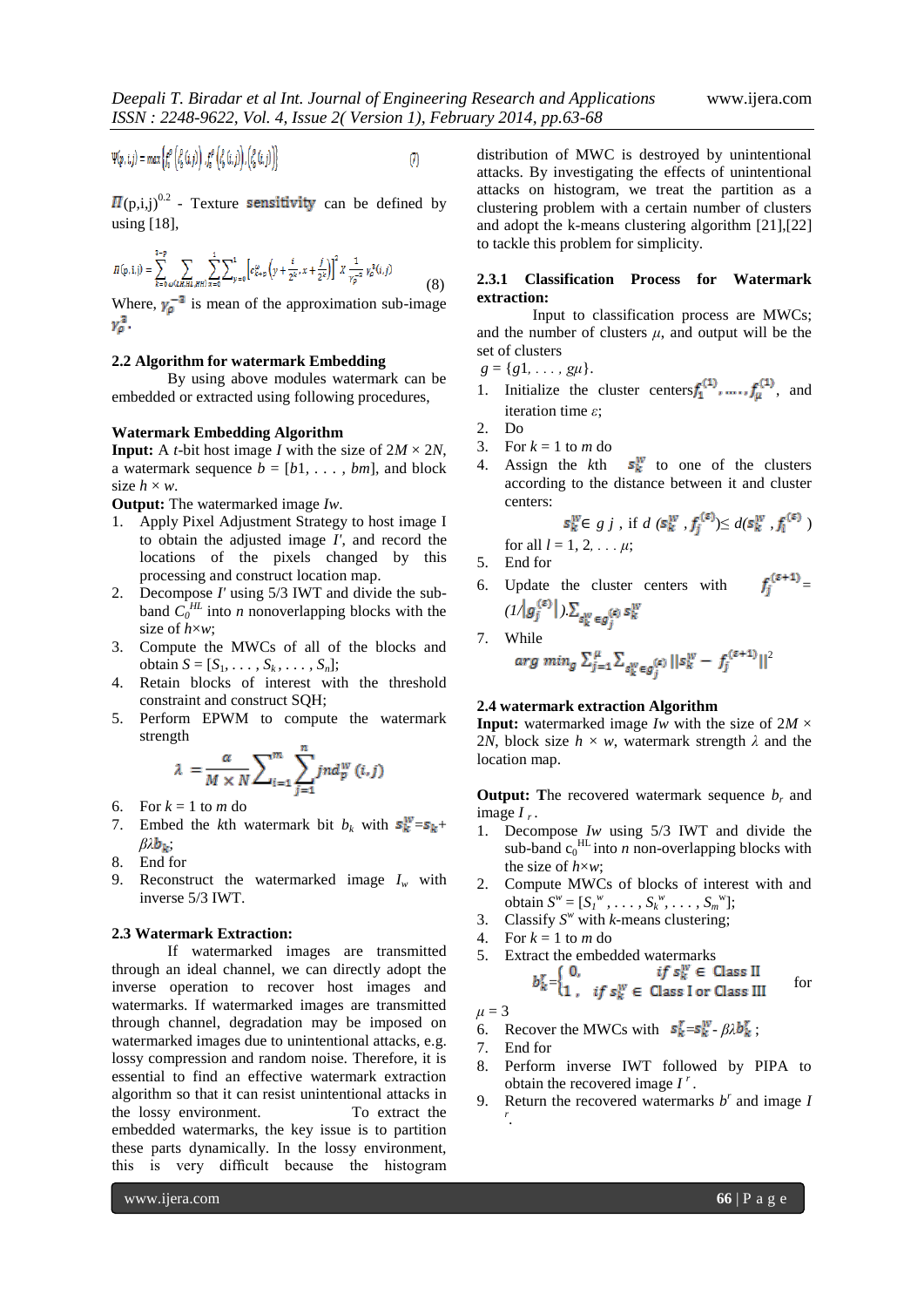$$
\Psi(p,i,j) = max \left\{ f_v^{\rho} \left( \ell_b^{\rho} (i,j) \right), f_z^{\rho} \left( \ell_b^{\rho} (i,j) \right), \left( \ell_b^{\rho} (i,j) \right) \right\}
$$
(7)

 $(p,i,j)^{0.2}$  - Texture **sensitivity** can be defined by using [18],

$$
\Pi(\mathbf{p}, \mathbf{i}, \mathbf{j}) = \sum_{k=0}^{3-p} \sum_{\omega(\mathbf{i}, \mathbf{i}, \mathbf{H}; \mathbf{i}, \mathbf{H}; \mathbf{H})} \sum_{x=0}^{1} \sum_{y=0}^{1} \left[ c_{x+p}^{\omega} \left( y + \frac{i}{2^k}, x + \frac{j}{2^k} \right) \right]^2 X \frac{1}{\gamma_p^{-3}} \gamma_p^3(\mathbf{i}, \mathbf{j}) \tag{8}
$$

Where,  $\gamma_{\rho}^{-3}$  is mean of the approximation sub-image  $\gamma_{\rho}^{3}$ .

#### **2.2 Algorithm for watermark Embedding**

By using above modules watermark can be embedded or extracted using following procedures,

#### **Watermark Embedding Algorithm**

**Input:** A *t*-bit host image *I* with the size of  $2M \times 2N$ , a watermark sequence  $b = [b_1, \ldots, b_m]$ , and block size  $h \times w$ .

**Output:** The watermarked image *Iw*.

- 1. Apply Pixel Adjustment Strategy to host image I to obtain the adjusted image *I'*, and record the locations of the pixels changed by this processing and construct location map.
- 2. Decompose *I'* using 5/3 IWT and divide the subband  $C_0^{HL}$  into *n* nonoverlapping blocks with the size of *h*×*w*;
- 3. Compute the MWCs of all of the blocks and obtain  $S = [S_1, \ldots, S_k, \ldots, S_n]$ ;
- 4. Retain blocks of interest with the threshold constraint and construct SQH;
- 5. Perform EPWM to compute the watermark strength

$$
\lambda = \frac{\alpha}{M \times N} \sum_{i=1}^{m} \sum_{j=1}^{n} jnd_p^w(i,j)
$$

- 6. For  $k = 1$  to *m* do
- 7. Embed the *k*th watermark bit  $b_k$  with  $s_k^w = s_k +$  $βλ$  $b_k$ ;
- 8. End for
- 9. Reconstruct the watermarked image  $I_w$  with inverse 5/3 IWT.

#### **2.3 Watermark Extraction:**

If watermarked images are transmitted through an ideal channel, we can directly adopt the inverse operation to recover host images and watermarks. If watermarked images are transmitted through channel, degradation may be imposed on watermarked images due to unintentional attacks, e.g. lossy compression and random noise. Therefore, it is essential to find an effective watermark extraction algorithm so that it can resist unintentional attacks in the lossy environment. To extract the embedded watermarks, the key issue is to partition these parts dynamically. In the lossy environment, this is very difficult because the histogram

distribution of MWC is destroyed by unintentional attacks. By investigating the effects of unintentional attacks on histogram, we treat the partition as a clustering problem with a certain number of clusters and adopt the k-means clustering algorithm [21],[22] to tackle this problem for simplicity.

### **2.3.1 Classification Process for Watermark extraction:**

Input to classification process are MWCs; and the number of clusters  $\mu$ , and output will be the set of clusters

 $g = \{g1, \ldots, g\mu\}.$ 

- 1. Initialize the cluster centers  $f_1^{(1)}$ , ....,  $f_{\mu}^{(1)}$ , and iteration time *ε*;
- 2. Do
- 3. For  $k = 1$  to *m* do
- 4. Assign the *k*th  $s_k^w$  to one of the clusters according to the distance between it and cluster centers:

$$
s_k^{\mathbf{W}} \in g \; j \; , \; \text{if} \; d \; (s_k^{\mathbf{W}} \; , \; f_j^{(\varepsilon)}) \leq d(s_k^{\mathbf{W}} \; , \; f_l^{(\varepsilon)})
$$
\n
$$
\text{for all } l = 1, \; 2, \; \ldots \; \mu;
$$

5. End for

 $7.$ 

6. Update the cluster centers with *=*   $(I\bigwedge g_j^{(\varepsilon)}\big\vert\,) \sum_{s_k^w \in g_j^{(\varepsilon)} }s_k^w$ 

While  

$$
arg min_{g} \sum_{j=1}^{\mu} \sum_{s_{k}^{W} \in g_{j}^{(\varepsilon)}} ||s_{k}^{W} - f_{j}^{(\varepsilon+1)}||^{2}
$$

# **2.4 watermark extraction Algorithm**

**Input:** watermarked image *Iw* with the size of  $2M \times$ 2*N*, block size  $h \times w$ , watermark strength  $\lambda$  and the location map.

**Output: T**he recovered watermark sequence *b<sup>r</sup>* and image *I r* .

- 1. Decompose *Iw* using 5/3 IWT and divide the sub-band  $c_0$ <sup>HL</sup> into *n* non-overlapping blocks with the size of *h*×*w*;
- 2. Compute MWCs of blocks of interest with and obtain  $S^w = [S_1^w, \ldots, S_k^w, \ldots, S_m^w];$
- 3. Classify  $S^w$  with *k*-means clustering;
- 4. For  $k = 1$  to *m* do

5. Extract the embedded watermarks  
\n
$$
b_k^r = \begin{cases} 0, & \text{if } s_k^w \in \text{Class II} \\ 1, & \text{if } s_k^w \in \text{Class III} \end{cases}
$$
 for

$$
\mu = 3
$$

6. Recover the MWCs with 
$$
s_k^r = s_k^w - \beta \lambda b_k^r
$$
;

7. End for

- 8. Perform inverse IWT followed by PIPA to obtain the recovered image  $I^r$ .
- 9. Return the recovered watermarks  $b^r$  and image  $I$ *r* .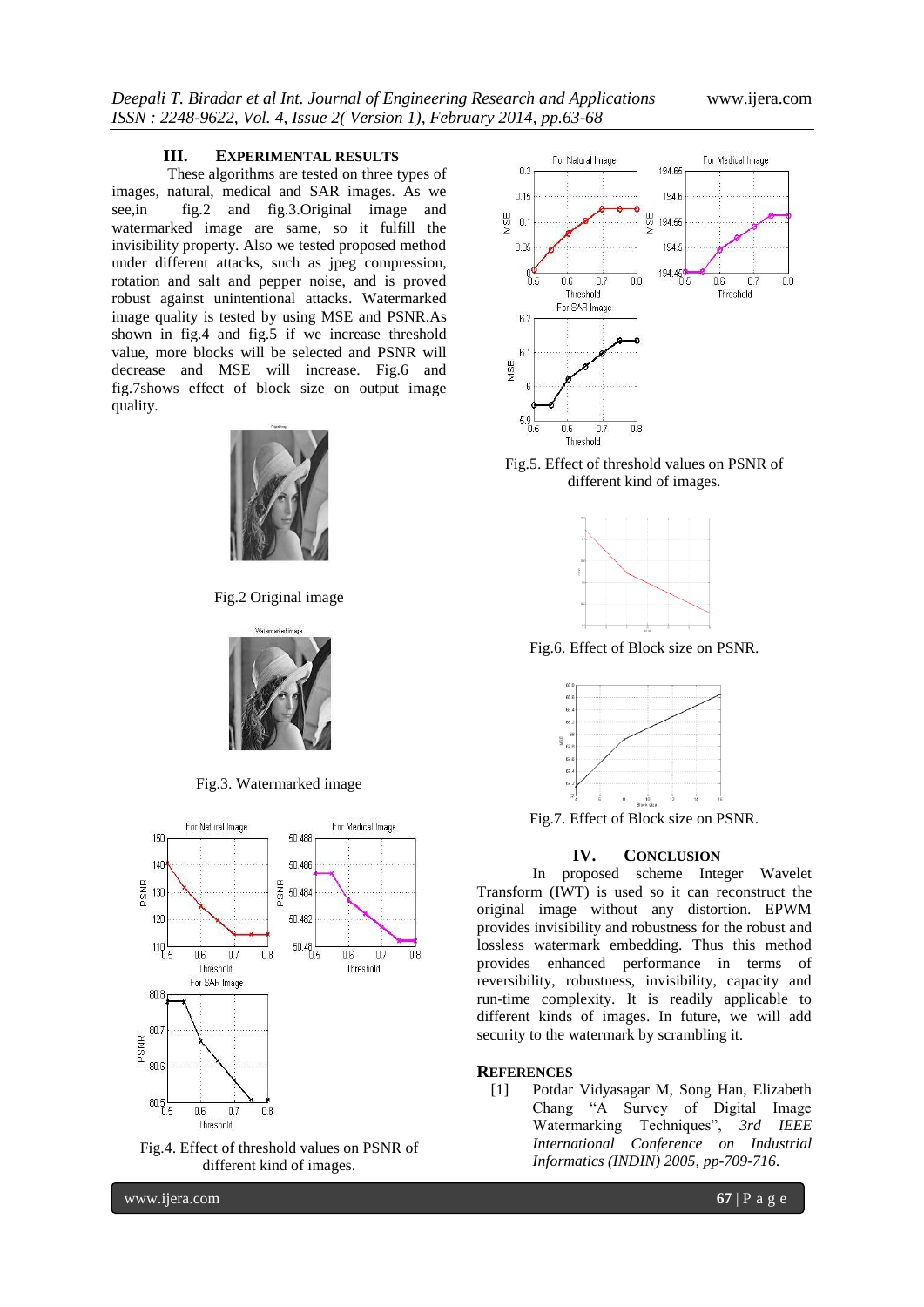#### **III. EXPERIMENTAL RESULTS**

These algorithms are tested on three types of images, natural, medical and SAR images. As we see,in fig.2 and fig.3.Original image and watermarked image are same, so it fulfill the invisibility property. Also we tested proposed method under different attacks, such as jpeg compression, rotation and salt and pepper noise, and is proved robust against unintentional attacks. Watermarked image quality is tested by using MSE and PSNR.As shown in fig.4 and fig.5 if we increase threshold value, more blocks will be selected and PSNR will decrease and MSE will increase. Fig.6 and fig.7shows effect of block size on output image quality.



Fig.2 Original image



Fig.3. Watermarked image



Fig.4. Effect of threshold values on PSNR of different kind of images.



Fig.5. Effect of threshold values on PSNR of different kind of images.



Fig.6. Effect of Block size on PSNR.



Fig.7. Effect of Block size on PSNR.

# **IV. CONCLUSION**

In proposed scheme Integer Wavelet Transform (IWT) is used so it can reconstruct the original image without any distortion. EPWM provides invisibility and robustness for the robust and lossless watermark embedding. Thus this method provides enhanced performance in terms of reversibility, robustness, invisibility, capacity and run-time complexity. It is readily applicable to different kinds of images. In future, we will add security to the watermark by scrambling it.

#### **REFERENCES**

[1] Potdar Vidyasagar M, Song Han, Elizabeth Chang "A Survey of Digital Image Watermarking Techniques", *3rd IEEE International Conference on Industrial Informatics (INDIN) 2005, pp-709-716*.